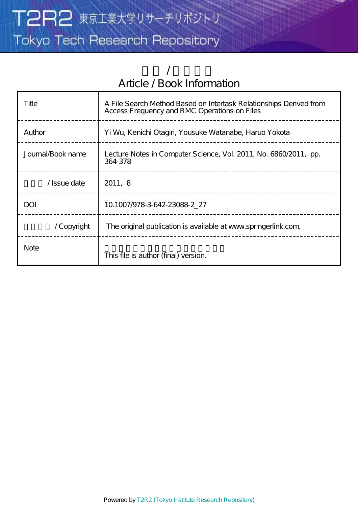T2R2 東京工業大学リサーチリポジトリ Tokyo Tech Research Repository

> 論文 / 著書情報 Article / Book Information

| Title             | A File Search Method Based on Intertask Relationships Derived from<br>Access Frequency and RMC Operations on Files |
|-------------------|--------------------------------------------------------------------------------------------------------------------|
| Author            | Yi Wu, Kenichi Otagiri, Yousuke Watanabe, Haruo Yokota                                                             |
| Journal/Book name | Lecture Notes in Computer Science, Vol. 2011, No. 6860/2011, pp.<br>364-378                                        |
| /Issue date       | 2011, 8                                                                                                            |
| <b>DOI</b>        | 10.1007/978-3-642-23088-2 27                                                                                       |
| /Copyright        | The original publication is available at www.springerlink.com.                                                     |
| <b>Note</b>       | This file is author (final) version.                                                                               |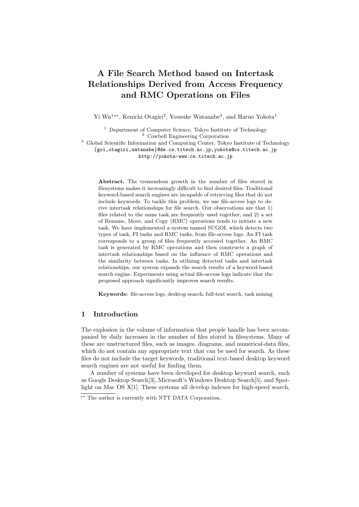# **A File Search Method based on Intertask Relationships Derived from Access Frequency and RMC Operations on Files**

Yi Wu<sup>1\*\*</sup>, Kenichi Otagiri<sup>2</sup>, Yousuke Watanabe<sup>3</sup>, and Haruo Yokota<sup>1</sup>

<sup>1</sup> Department of Computer Science, Tokyo Institute of Technology <sup>2</sup> Cowbell Engineering Corporation

<sup>3</sup> Global Scientific Information and Computing Center, Tokyo Institute of Technology

*{*goi,otagiri,watanabe*}*@de.cs.titech.ac.jp,yokota@cs.titech.ac.jp

http://yokota-www.cs.titech.ac.jp

**Abstract.** The tremendous growth in the number of files stored in filesystems makes it increasingly difficult to find desired files. Traditional keyword-based search engines are incapable of retrieving files that do not include keywords. To tackle this problem, we use file-access logs to derive intertask relationships for file search. Our observations are that 1) files related to the same task are frequently used together, and 2) a set of Rename, Move, and Copy (RMC) operations tends to initiate a new task. We have implemented a system named SUGOI, which detects two types of task, FI tasks and RMC tasks, from file-access logs. An FI task corresponds to a group of files frequently accessed together. An RMC task is generated by RMC operations and then constructs a graph of intertask relationships based on the influence of RMC operations and the similarity between tasks. In utilizing detected tasks and intertask relationships, our system expands the search results of a keyword-based search engine. Experiments using actual file-access logs indicate that the proposed approach significantly improves search results.

**Keywords:** file-access logs, desktop search, full-text search, task mining

## **1 Introduction**

The explosion in the volume of information that people handle has been accompanied by daily increases in the number of files stored in filesystems. Many of these are unstructured files, such as images, diagrams, and numerical-data files, which do not contain any appropriate text that can be used for search. As these files do not include the target keywords, traditional text-based desktop keyword search engines are not useful for finding them.

A number of systems have been developed for desktop keyword search, such as Google Desktop Search[3], Microsoft's Windows Desktop Search[5], and Spotlight on Mac OS X[1]. These systems all develop indexes for high-speed search,

*<sup>??</sup>* The author is currently with NTT DATA Corporation.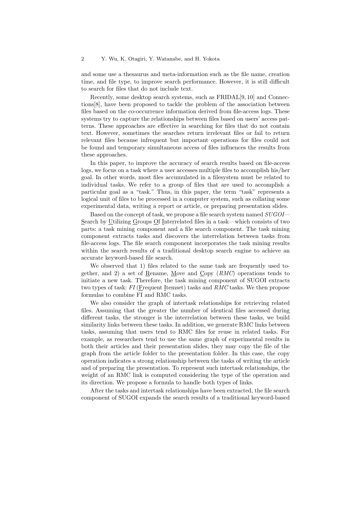and some use a thesaurus and meta-information such as the file name, creation time, and file type, to improve search performance. However, it is still difficult to search for files that do not include text.

Recently, some desktop search systems, such as FRIDAL[9, 10] and Connections[8], have been proposed to tackle the problem of the association between files based on the co-occurrence information derived from file-access logs. These systems try to capture the relationships between files based on users' access patterns. These approaches are effective in searching for files that do not contain text. However, sometimes the searches return irrelevant files or fail to return relevant files because infrequent but important operations for files could not be found and temporary simultaneous access of files influences the results from these approaches.

In this paper, to improve the accuracy of search results based on file-access logs, we focus on a task where a user accesses multiple files to accomplish his/her goal. In other words, most files accumulated in a filesystem must be related to individual tasks. We refer to a group of files that are used to accomplish a particular goal as a "task." Thus, in this paper, the term "task" represents a logical unit of files to be processed in a computer system, such as collating some experimental data, writing a report or article, or preparing presentation slides.

Based on the concept of task, we propose a file search system named *SUGOI*— Search by Utilizing Groups Of Interrelated files in a task—which consists of two parts: a task mining component and a file search component. The task mining component extracts tasks and discovers the interrelation between tasks from file-access logs. The file search component incorporates the task mining results within the search results of a traditional desktop search engine to achieve an accurate keyword-based file search.

We observed that 1) files related to the same task are frequently used together, and 2) a set of Rename, Move and Copy (*RMC*) operations tends to initiate a new task. Therefore, the task mining component of SUGOI extracts two types of task: *FI* (Frequent Itemset) tasks and *RMC* tasks. We then propose formulas to combine FI and RMC tasks.

We also consider the graph of intertask relationships for retrieving related files. Assuming that the greater the number of identical files accessed during different tasks, the stronger is the interrelation between these tasks, we build similarity links between these tasks. In addition, we generate RMC links between tasks, assuming that users tend to RMC files for reuse in related tasks. For example, as researchers tend to use the same graph of experimental results in both their articles and their presentation slides, they may copy the file of the graph from the article folder to the presentation folder. In this case, the copy operation indicates a strong relationship between the tasks of writing the article and of preparing the presentation. To represent such intertask relationships, the weight of an RMC link is computed considering the type of the operation and its direction. We propose a formula to handle both types of links.

After the tasks and intertask relationships have been extracted, the file search component of SUGOI expands the search results of a traditional keyword-based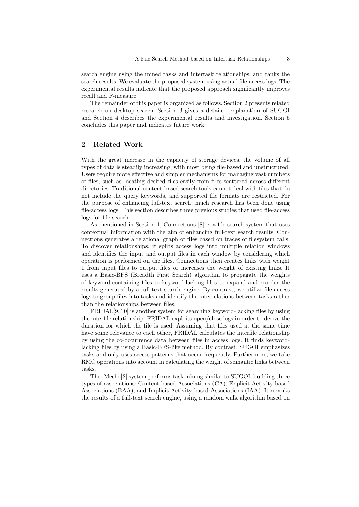search engine using the mined tasks and intertask relationships, and ranks the search results. We evaluate the proposed system using actual file-access logs. The experimental results indicate that the proposed approach significantly improves recall and F-measure.

The remainder of this paper is organized as follows. Section 2 presents related research on desktop search. Section 3 gives a detailed explanation of SUGOI and Section 4 describes the experimental results and investigation. Section 5 concludes this paper and indicates future work.

## **2 Related Work**

With the great increase in the capacity of storage devices, the volume of all types of data is steadily increasing, with most being file-based and unstructured. Users require more effective and simpler mechanisms for managing vast numbers of files, such as locating desired files easily from files scattered across different directories. Traditional content-based search tools cannot deal with files that do not include the query keywords, and supported file formats are restricted. For the purpose of enhancing full-text search, much research has been done using file-access logs. This section describes three previous studies that used file-access logs for file search.

As mentioned in Section 1, Connections [8] is a file search system that uses contextual information with the aim of enhancing full-text search results. Connections generates a relational graph of files based on traces of filesystem calls. To discover relationships, it splits access logs into multiple relation windows and identifies the input and output files in each window by considering which operation is performed on the files. Connections then creates links with weight 1 from input files to output files or increases the weight of existing links. It uses a Basic-BFS (Breadth First Search) algorithm to propagate the weights of keyword-containing files to keyword-lacking files to expand and reorder the results generated by a full-text search engine. By contrast, we utilize file-access logs to group files into tasks and identify the interrelations between tasks rather than the relationships between files.

FRIDAL[9, 10] is another system for searching keyword-lacking files by using the interfile relationship. FRIDAL exploits open/close logs in order to derive the duration for which the file is used. Assuming that files used at the same time have some relevance to each other, FRIDAL calculates the interfile relationship by using the co-occurrence data between files in access logs. It finds keywordlacking files by using a Basic-BFS-like method. By contrast, SUGOI emphasizes tasks and only uses access patterns that occur frequently. Furthermore, we take RMC operations into account in calculating the weight of semantic links between tasks.

The iMecho[2] system performs task mining similar to SUGOI, building three types of associations: Content-based Associations (CA), Explicit Activity-based Associations (EAA), and Implicit Activity-based Associations (IAA). It reranks the results of a full-text search engine, using a random walk algorithm based on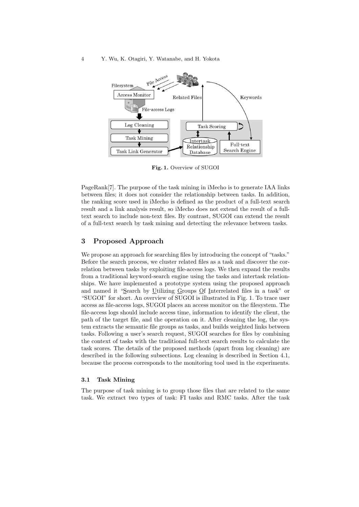

**Fig. 1.** Overview of SUGOI

PageRank[7]. The purpose of the task mining in iMecho is to generate IAA links between files; it does not consider the relationship between tasks. In addition, the ranking score used in iMecho is defined as the product of a full-text search result and a link analysis result, so iMecho does not extend the result of a fulltext search to include non-text files. By contrast, SUGOI can extend the result of a full-text search by task mining and detecting the relevance between tasks.

## **3 Proposed Approach**

We propose an approach for searching files by introducing the concept of "tasks." Before the search process, we cluster related files as a task and discover the correlation between tasks by exploiting file-access logs. We then expand the results from a traditional keyword-search engine using the tasks and intertask relationships. We have implemented a prototype system using the proposed approach and named it "Search by Utilizing Groups Of Interrelated files in a task" or "SUGOI" for short. An overview of SUGOI is illustrated in Fig. 1. To trace user access as file-access logs, SUGOI places an access monitor on the filesystem. The file-access logs should include access time, information to identify the client, the path of the target file, and the operation on it. After cleaning the log, the system extracts the semantic file groups as tasks, and builds weighted links between tasks. Following a user's search request, SUGOI searches for files by combining the context of tasks with the traditional full-text search results to calculate the task scores. The details of the proposed methods (apart from log cleaning) are described in the following subsections. Log cleaning is described in Section 4.1, because the process corresponds to the monitoring tool used in the experiments.

## **3.1 Task Mining**

The purpose of task mining is to group those files that are related to the same task. We extract two types of task: FI tasks and RMC tasks. After the task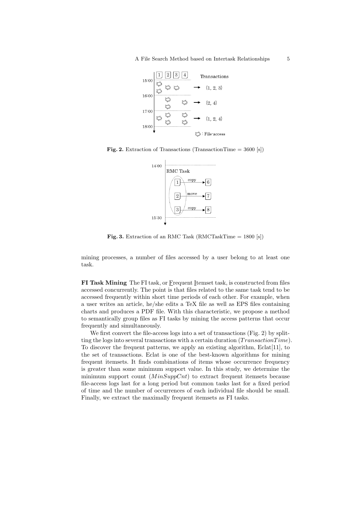

**Fig. 2.** Extraction of Transactions (TransactionTime  $= 3600$  [s])



**Fig. 3.** Extraction of an RMC Task (RMCTaskTime  $= 1800$  [s])

mining processes, a number of files accessed by a user belong to at least one task.

**FI Task Mining** The FI task, or Frequent Itemset task, is constructed from files accessed concurrently. The point is that files related to the same task tend to be accessed frequently within short time periods of each other. For example, when a user writes an article, he/she edits a TeX file as well as EPS files containing charts and produces a PDF file. With this characteristic, we propose a method to semantically group files as FI tasks by mining the access patterns that occur frequently and simultaneously.

We first convert the file-access logs into a set of transactions (Fig. 2) by splitting the logs into several transactions with a certain duration (*T ransactionT ime*). To discover the frequent patterns, we apply an existing algorithm, Eclat[11], to the set of transactions. Eclat is one of the best-known algorithms for mining frequent itemsets. It finds combinations of items whose occurrence frequency is greater than some minimum support value. In this study, we determine the minimum support count (*M inSuppCnt*) to extract frequent itemsets because file-access logs last for a long period but common tasks last for a fixed period of time and the number of occurrences of each individual file should be small. Finally, we extract the maximally frequent itemsets as FI tasks.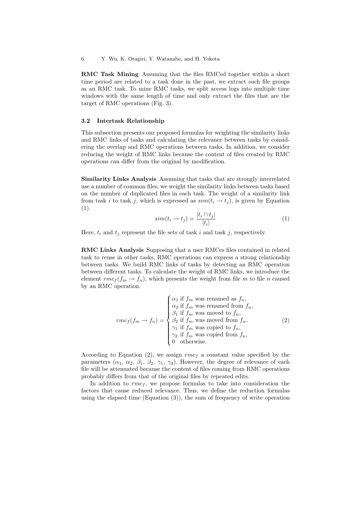**RMC Task Mining** Assuming that the files RMCed together within a short time period are related to a task done in the past, we extract such file groups as an RMC task. To mine RMC tasks, we split access logs into multiple time windows with the same length of time and only extract the files that are the target of RMC operations (Fig. 3).

## **3.2 Intertask Relationship**

This subsection presents our proposed formulas for weighting the similarity links and RMC links of tasks and calculating the relevance between tasks by considering the overlap and RMC operations between tasks. In addition, we consider reducing the weight of RMC links because the content of files created by RMC operations can differ from the original by modification.

**Similarity Links Analysis** Assuming that tasks that are strongly interrelated use a number of common files, we weight the similarity links between tasks based on the number of duplicated files in each task. The weight of a similarity link from task *i* to task *j*, which is expressed as  $sim(t_i \rightarrow t_j)$ , is given by Equation (1).

$$
sim(t_i \to t_j) = \frac{|t_i \cap t_j|}{|t_i|} \tag{1}
$$

Here,  $t_i$  and  $t_j$  represent the file sets of task *i* and task *j*, respectively.

**RMC Links Analysis** Supposing that a user RMCes files contained in related task to reuse in other tasks, RMC operations can express a strong relationship between tasks. We build RMC links of tasks by detecting an RMC operation between different tasks. To calculate the weight of RMC links, we introduce the element  $rm_f(f_m \rightarrow f_n)$ , which presents the weight from file *m* to file *n* caused by an RMC operation.

$$
rmc_f(f_m \to f_n) = \begin{cases} \alpha_1 \text{ if } f_m \text{ was renamed as } f_n, \\ \alpha_2 \text{ if } f_m \text{ was renamed from } f_n, \\ \beta_1 \text{ if } f_m \text{ was moved to } f_n, \\ \beta_2 \text{ if } f_m \text{ was moved from } f_n, \\ \gamma_1 \text{ if } f_m \text{ was copied to } f_n, \\ \gamma_2 \text{ if } f_m \text{ was copied from } f_n, \\ 0 \text{ otherwise.} \end{cases} \tag{2}
$$

According to Equation (2), we assign  $rm_{cf}$  a constant value specified by the parameters  $(\alpha_1, \alpha_2, \beta_1, \beta_2, \gamma_1, \gamma_2)$ . However, the degree of relevance of each file will be attenuated because the content of files coming from RMC operations probably differs from that of the original files by repeated edits.

In addition to  $rmc<sub>f</sub>$ , we propose formulas to take into consideration the factors that cause reduced relevance. Thus, we define the reduction formulas using the elapsed time (Equation (3)), the sum of frequency of write operation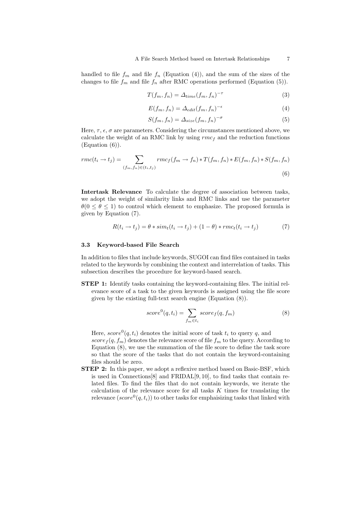handled to file  $f_m$  and file  $f_n$  (Equation (4)), and the sum of the sizes of the changes to file  $f_m$  and file  $f_n$  after RMC operations performed (Equation (5)).

$$
T(f_m, f_n) = \Delta_{time}(f_m, f_n)^{-\tau}
$$
\n(3)

$$
E(f_m, f_n) = \Delta_{edit}(f_m, f_n)^{-\epsilon}
$$
\n(4)

$$
S(f_m, f_n) = \Delta_{size}(f_m, f_n)^{-\sigma}
$$
\n(5)

Here,  $\tau$ ,  $\epsilon$ ,  $\sigma$  are parameters. Considering the circumstances mentioned above, we calculate the weight of an RMC link by using  $rmc<sub>f</sub>$  and the reduction functions (Equation (6)).

$$
rmc(t_i \to t_j) = \sum_{(f_m, f_n) \in (t_i, t_j)} rmc_f(f_m \to f_n) * T(f_m, f_n) * E(f_m, f_n) * S(f_m, f_n)
$$
\n
$$
(6)
$$

**Intertask Relevance** To calculate the degree of association between tasks, we adopt the weight of similarity links and RMC links and use the parameter  $\theta(0 \leq \theta \leq 1)$  to control which element to emphasize. The proposed formula is given by Equation (7).

$$
R(t_i \to t_j) = \theta * sim_t(t_i \to t_j) + (1 - \theta) * rmc_t(t_i \to t_j)
$$
\n
$$
(7)
$$

### **3.3 Keyword-based File Search**

In addition to files that include keywords, SUGOI can find files contained in tasks related to the keywords by combining the context and interrelation of tasks. This subsection describes the procedure for keyword-based search.

**STEP 1:** Identify tasks containing the keyword-containing files. The initial relevance score of a task to the given keywords is assigned using the file score given by the existing full-text search engine (Equation (8)).

$$
score^{0}(q, t_i) = \sum_{f_m \in t_i} score_f(q, f_m)
$$
\n(8)

Here,  $score^{0}(q, t_i)$  denotes the initial score of task  $t_i$  to query  $q$ , and  $score_f(q, f_m)$  denotes the relevance score of file  $f_m$  to the query. According to Equation (8), we use the summation of the file score to define the task score so that the score of the tasks that do not contain the keyword-containing files should be zero.

**STEP 2:** In this paper, we adopt a reflexive method based on Basic-BSF, which is used in Connections  $[8]$  and FRIDAL $[9, 10]$ , to find tasks that contain related files. To find the files that do not contain keywords, we iterate the calculation of the relevance score for all tasks *K* times for translating the  $relevance (score<sup>0</sup>(q, t<sub>i</sub>))$  to other tasks for emphaisizing tasks that linked with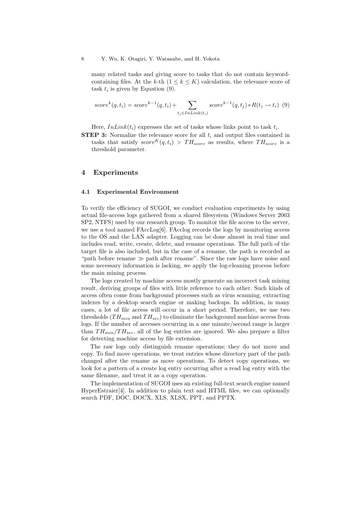many related tasks and giving score to tasks that do not contain keywordcontaining files. At the *k*-th  $(1 \leq k \leq K)$  calculation, the relevance score of task  $t_i$  is given by Equation  $(9)$ .

$$
score^{k}(q, t_i) = score^{k-1}(q, t_i) + \sum_{t_j \in InLink(t_i)} score^{k-1}(q, t_j) * R(t_j \to t_i)
$$
 (9)

Here,  $InLink(t_i)$  expresses the set of tasks whose links point to task  $t_i$ .

**STEP 3:** Normalize the relevance score for all *t<sup>i</sup>* and output files contained in tasks that satisfy  $score^{K}(q, t_i) > TH_{score}$  as results, where  $TH_{score}$  is a threshold parameter.

## **4 Experiments**

#### **4.1 Experimental Environment**

To verify the efficiency of SUGOI, we conduct evaluation experiments by using actual file-access logs gathered from a shared filesystem (Windows Server 2003 SP2, NTFS) used by our research group. To monitor the file access to the server, we use a tool named FAccLog[6]. FAcclog records the logs by monitoring access to the OS and the LAN adapter. Logging can be done almost in real time and includes read, write, create, delete, and rename operations. The full path of the target file is also included, but in the case of a rename, the path is recorded as "path before rename  $\gg$  path after rename". Since the raw logs have noise and some necessary information is lacking, we apply the log-cleaning process before the main mining process.

The logs created by machine access mostly generate an incorrect task mining result, deriving groups of files with little reference to each other. Such kinds of access often come from background processes such as virus scanning, extracting indexes by a desktop search engine or making backups. In addition, in many cases, a lot of file access will occur in a short period. Therefore, we use two thresholds (*THmin* and *THsec*) to eliminate the background machine access from logs. If the number of accesses occurring in a one minute/second range is larger than *THmin*/*THsec*, all of the log entries are ignored. We also prepare a filter for detecting machine access by file extension.

The raw logs only distinguish rename operations; they do not move and copy. To find move operations, we treat entries whose directory part of the path changed after the rename as move operations. To detect copy operations, we look for a pattern of a create log entry occurring after a read log entry with the same filename, and treat it as a copy operation.

The implementation of SUGOI uses an existing full-text search engine named HyperEstraier[4]. In addition to plain text and HTML files, we can optionally search PDF, DOC, DOCX, XLS, XLSX, PPT, and PPTX.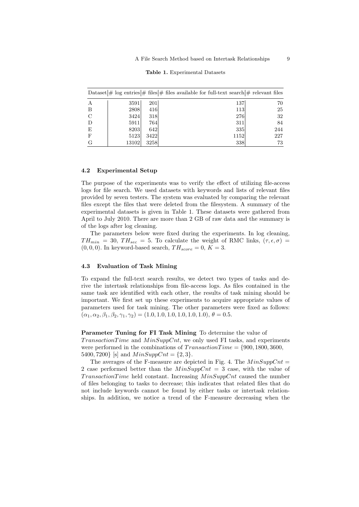|  |  | <b>Table 1.</b> Experimental Datasets |  |
|--|--|---------------------------------------|--|
|--|--|---------------------------------------|--|

|   |       |            | Dataset # $\log$ entries # files # files available for full-text search # relevant files |     |
|---|-------|------------|------------------------------------------------------------------------------------------|-----|
| А | 3591  | <b>201</b> | 137                                                                                      | 70  |
| В | 2808  | 416        | 113                                                                                      | 25  |
| С | 3424  | 318        | 276                                                                                      | 32  |
|   | 5911  | 7641       | 311                                                                                      | 84  |
| E | 8203  | 642        | 335                                                                                      | 244 |
| F | 5123  | 3422       | 1152                                                                                     | 227 |
| G | 13102 | 3258       | 338                                                                                      | 73  |

#### **4.2 Experimental Setup**

The purpose of the experiments was to verify the effect of utilizing file-access logs for file search. We used datasets with keywords and lists of relevant files provided by seven testers. The system was evaluated by comparing the relevant files except the files that were deleted from the filesystem. A summary of the experimental datasets is given in Table 1. These datasets were gathered from April to July 2010. There are more than 2 GB of raw data and the summary is of the logs after log cleaning.

The parameters below were fixed during the experiments. In log cleaning,  $TH_{min} = 30$ ,  $TH_{sec} = 5$ . To calculate the weight of RMC links,  $(\tau, \epsilon, \sigma)$  $(0,0,0)$ . In keyword-based search,  $TH_{score} = 0$ ,  $K = 3$ .

### **4.3 Evaluation of Task Mining**

To expand the full-text search results, we detect two types of tasks and derive the intertask relationships from file-access logs. As files contained in the same task are identified with each other, the results of task mining should be important. We first set up these experiments to acquire appropriate values of parameters used for task mining. The other parameters were fixed as follows:  $(\alpha_1, \alpha_2, \beta_1, \beta_2, \gamma_1, \gamma_2) = (1.0, 1.0, 1.0, 1.0, 1.0, 1.0), \theta = 0.5.$ 

**Parameter Tuning for FI Task Mining** To determine the value of *TransactionTime* and *MinSuppCnt*, we only used FI tasks, and experiments were performed in the combinations of  $TransactionTime = \{900, 1800, 3600,$ 5400, 7200} [s] and  $MinSuppCnt = \{2, 3\}.$ 

The averages of the F-measure are depicted in Fig. 4. The  $MinSuppCnt =$ 2 case performed better than the  $MinSuppCnt = 3$  case, with the value of *T ransactionT ime* held constant. Increasing *M inSuppCnt* caused the number of files belonging to tasks to decrease; this indicates that related files that do not include keywords cannot be found by either tasks or intertask relationships. In addition, we notice a trend of the F-measure decreasing when the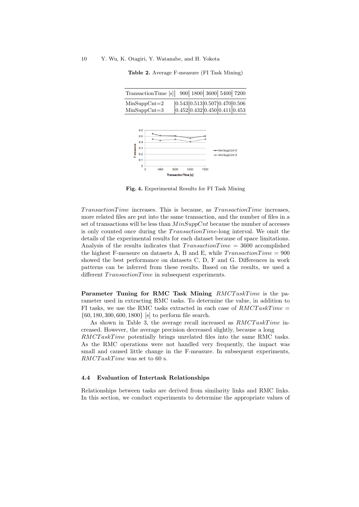**Table 2.** Average F-measure (FI Task Mining)

| TransactionTime [s] 900 1800 3600 5400 7200 |                                                                                                                                               |  |  |
|---------------------------------------------|-----------------------------------------------------------------------------------------------------------------------------------------------|--|--|
|                                             |                                                                                                                                               |  |  |
| $MinSuppCnt=2$                              |                                                                                                                                               |  |  |
| $MinSuppCnt=3$                              | $\begin{array}{ l l l l } \hline 0.543 & 0.513 & 0.507 & 0.470 & 0.506 \\ \hline 0.452 & 0.432 & 0.450 & 0.411 & 0.453 \\ \hline \end{array}$ |  |  |
|                                             |                                                                                                                                               |  |  |
|                                             |                                                                                                                                               |  |  |
| 0.6                                         |                                                                                                                                               |  |  |
| 0.5                                         |                                                                                                                                               |  |  |
| 0.4                                         |                                                                                                                                               |  |  |



**Fig. 4.** Experimental Results for FI Task Mining

*TransactionTime* increases. This is because, as *TransactionTime* increases, more related files are put into the same transaction, and the number of files in a set of transactions will be less than *M inSuppCnt* because the number of accesses is only counted once during the *T ransactionT ime*-long interval. We omit the details of the experimental results for each dataset because of space limitations. Analysis of the results indicates that  $TransactionTime = 3600$  accomplished the highest F-measure on datasets A, B and E, while  $TransactionTime = 900$ showed the best performance on datasets C, D, F and G. Differences in work patterns can be inferred from these results. Based on the results, we used a different *TransactionTime* in subsequent experiments.

**Parameter Tuning for RMC Task Mining** *RMCT askTime* is the parameter used in extracting RMC tasks. To determine the value, in addition to FI tasks, we use the RMC tasks extracted in each case of  $RMCTaskTime =$ *{*60*,* 180*,* 300*,* 600*,* 1800*}* [s] to perform file search.

As shown in Table 3, the average recall increased as  $RMCTaskTime$  increased. However, the average precision decreased slightly, because a long *RMCT askT ime* potentially brings unrelated files into the same RMC tasks. As the RMC operations were not handled very frequently, the impact was small and caused little change in the F-measure. In subsequent experiments, *RMCT askT ime* was set to 60 s.

#### **4.4 Evaluation of Intertask Relationships**

Relationships between tasks are derived from similarity links and RMC links. In this section, we conduct experiments to determine the appropriate values of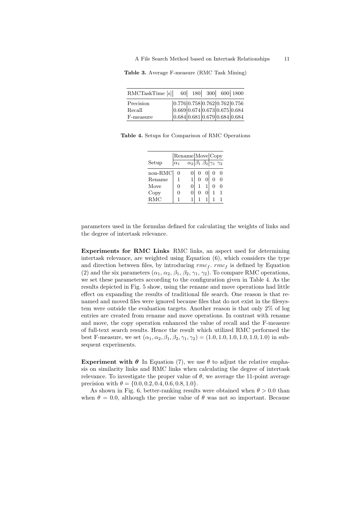| $RMCTaskTime$ [s] |  |  | 60 180 300 600 1800                                                                                                                                      |
|-------------------|--|--|----------------------------------------------------------------------------------------------------------------------------------------------------------|
| Precision         |  |  | $\begin{array}{l c} 0.776 & 0.758 & 0.762 & 0.762 & 0.756 \\ 0.669 & 0.674 & 0.673 & 0.675 & 0.684 \\ 0.684 & 0.681 & 0.679 & 0.684 & 0.684 \end{array}$ |
| Recall            |  |  |                                                                                                                                                          |
| F-measure         |  |  |                                                                                                                                                          |

**Table 3.** Average F-measure (RMC Task Mining)

| <b>Table 4.</b> Setups for Comparison of RMC Operations |  |  |
|---------------------------------------------------------|--|--|
|---------------------------------------------------------|--|--|

|         |            | Rename Move Copy |                                              |   |              |
|---------|------------|------------------|----------------------------------------------|---|--------------|
| Setup   | $\alpha_1$ |                  | $\alpha_2 \beta_1 \beta_2 \gamma_1 \gamma_2$ |   |              |
| non-RMC |            |                  |                                              |   |              |
| Rename  |            |                  |                                              |   | $\mathbf{0}$ |
| Move    |            |                  |                                              | 0 |              |
| Copy    |            |                  |                                              |   |              |
| RMC     |            |                  |                                              |   |              |

parameters used in the formulas defined for calculating the weights of links and the degree of intertask relevance.

**Experiments for RMC Links** RMC links, an aspect used for determining intertask relevance, are weighted using Equation (6), which considers the type and direction between files, by introducing *rmc<sup>f</sup>* . *rmc<sup>f</sup>* is defined by Equation (2) and the six parameters  $(\alpha_1, \alpha_2, \beta_1, \beta_2, \gamma_1, \gamma_2)$ . To compare RMC operations, we set these parameters according to the configuration given in Table 4. As the results depicted in Fig. 5 show, using the rename and move operations had little effect on expanding the results of traditional file search. One reason is that renamed and moved files were ignored because files that do not exist in the filesystem were outside the evaluation targets. Another reason is that only 2% of log entries are created from rename and move operations. In contrast with rename and move, the copy operation enhanced the value of recall and the F-measure of full-text search results. Hence the result which utilized RMC performed the best F-measure, we set  $(\alpha_1, \alpha_2, \beta_1, \beta_2, \gamma_1, \gamma_2) = (1.0, 1.0, 1.0, 1.0, 1.0, 1.0)$  in subsequent experiments.

**Experiment with**  $\theta$  In Equation (7), we use  $\theta$  to adjust the relative emphasis on similarity links and RMC links when calculating the degree of intertask relevance. To investigate the proper value of  $\theta$ , we average the 11-point average precision with  $\theta = \{0.0, 0.2, 0.4, 0.6, 0.8, 1.0\}.$ 

As shown in Fig. 6, better-ranking results were obtained when  $\theta > 0.0$  than when  $\theta = 0.0$ , although the precise value of  $\theta$  was not so important. Because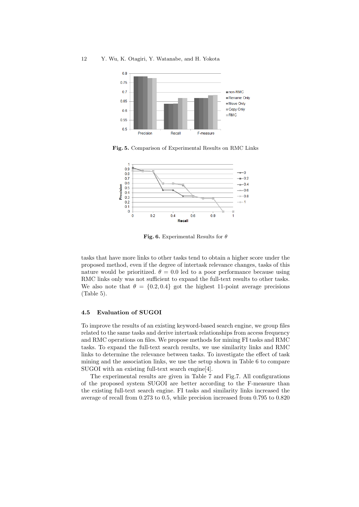

**Fig. 5.** Comparison of Experimental Results on RMC Links



**Fig. 6.** Experimental Results for *θ*

tasks that have more links to other tasks tend to obtain a higher score under the proposed method, even if the degree of intertask relevance changes, tasks of this nature would be prioritized.  $\theta = 0.0$  led to a poor performance because using RMC links only was not sufficient to expand the full-text results to other tasks. We also note that  $\theta = \{0.2, 0.4\}$  got the highest 11-point average precisions (Table 5).

## **4.5 Evaluation of SUGOI**

To improve the results of an existing keyword-based search engine, we group files related to the same tasks and derive intertask relationships from access frequency and RMC operations on files. We propose methods for mining FI tasks and RMC tasks. To expand the full-text search results, we use similarity links and RMC links to determine the relevance between tasks. To investigate the effect of task mining and the association links, we use the setup shown in Table 6 to compare SUGOI with an existing full-text search engine[4].

The experimental results are given in Table 7 and Fig.7. All configurations of the proposed system SUGOI are better according to the F-measure than the existing full-text search engine. FI tasks and similarity links increased the average of recall from 0.273 to 0.5, while precision increased from 0.795 to 0.820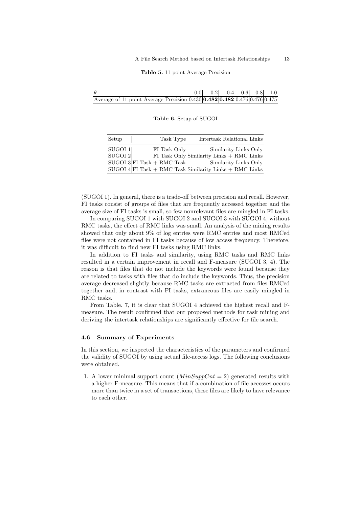#### **Table 5.** 11-point Average Precision

|                                                                           |  | $\begin{array}{ c c c c c c c c } \hline 0.0 & 0.2 & 0.4 & 0.6 & 0.8 & 1.0 \ \hline \end{array}$ |  |  |
|---------------------------------------------------------------------------|--|--------------------------------------------------------------------------------------------------|--|--|
| Average of 11-point Average Precision 0.430 0.482 0.482 0.476 0.476 0.475 |  |                                                                                                  |  |  |

**Table 6.** Setup of SUGOI

| Setup   |                               | Task Type    | Intertask Relational Links                                      |
|---------|-------------------------------|--------------|-----------------------------------------------------------------|
| SUGOI 1 |                               | FI Task Only | Similarity Links Only                                           |
| SUGOI 2 |                               |              | FI Task Only<br> Similarity Links + RMC Links                   |
|         | SUGOI 3 $ FI$ Task + RMC Task |              | Similarity Links Only                                           |
|         |                               |              | SUGOI 4 $\vert$ FI Task + RMC Task Similarity Links + RMC Links |

(SUGOI 1). In general, there is a trade-off between precision and recall. However, FI tasks consist of groups of files that are frequently accessed together and the average size of FI tasks is small, so few nonrelevant files are mingled in FI tasks.

In comparing SUGOI 1 with SUGOI 2 and SUGOI 3 with SUGOI 4, without RMC tasks, the effect of RMC links was small. An analysis of the mining results showed that only about 9% of log entries were RMC entries and most RMCed files were not contained in FI tasks because of low access frequency. Therefore, it was difficult to find new FI tasks using RMC links.

In addition to FI tasks and similarity, using RMC tasks and RMC links resulted in a certain improvement in recall and F-measure (SUGOI 3, 4). The reason is that files that do not include the keywords were found because they are related to tasks with files that do include the keywords. Thus, the precision average decreased slightly because RMC tasks are extracted from files RMCed together and, in contrast with FI tasks, extraneous files are easily mingled in RMC tasks.

From Table. 7, it is clear that SUGOI 4 achieved the highest recall and Fmeasure. The result confirmed that our proposed methods for task mining and deriving the intertask relationships are significantly effective for file search.

#### **4.6 Summary of Experiments**

In this section, we inspected the characteristics of the parameters and confirmed the validity of SUGOI by using actual file-access logs. The following conclusions were obtained.

1. A lower minimal support count  $(MinSuppCnt = 2)$  generated results with a higher F-measure. This means that if a combination of file accesses occurs more than twice in a set of transactions, these files are likely to have relevance to each other.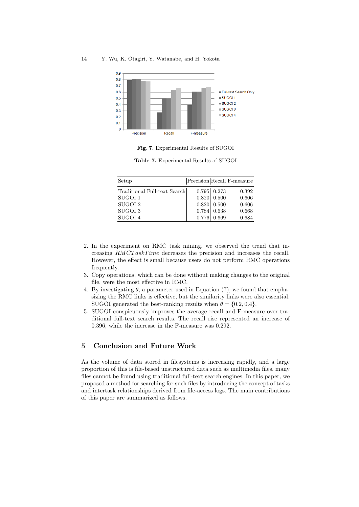

**Fig. 7.** Experimental Results of SUGOI

|  |  | Table 7. Experimental Results of SUGOI |  |  |  |  |  |
|--|--|----------------------------------------|--|--|--|--|--|
|--|--|----------------------------------------|--|--|--|--|--|

| Setup                        |       |               | Precision Recall F-measure |
|------------------------------|-------|---------------|----------------------------|
| Traditional Full-text Search |       | 0.795 0.273   | 0.392                      |
| SUGOI 1                      |       | 0.820   0.500 | 0.606                      |
| SUGOI 2                      |       | 0.820 0.500   | 0.606                      |
| SUGOI 3                      |       | 0.784 0.638   | 0.668                      |
| SUGOI 4                      | 0.776 | 0.669         | 0.684                      |

- 2. In the experiment on RMC task mining, we observed the trend that increasing *RMCT askT ime* decreases the precision and increases the recall. However, the effect is small because users do not perform RMC operations frequently.
- 3. Copy operations, which can be done without making changes to the original file, were the most effective in RMC.
- 4. By investigating  $\theta$ , a parameter used in Equation (7), we found that emphasizing the RMC links is effective, but the similarity links were also essential. SUGOI generated the best-ranking results when  $\theta = \{0.2, 0.4\}$ .
- 5. SUGOI conspicuously improves the average recall and F-measure over traditional full-text search results. The recall rise represented an increase of 0.396, while the increase in the F-measure was 0.292.

# **5 Conclusion and Future Work**

As the volume of data stored in filesystems is increasing rapidly, and a large proportion of this is file-based unstructured data such as multimedia files, many files cannot be found using traditional full-text search engines. In this paper, we proposed a method for searching for such files by introducing the concept of tasks and intertask relationships derived from file-access logs. The main contributions of this paper are summarized as follows.